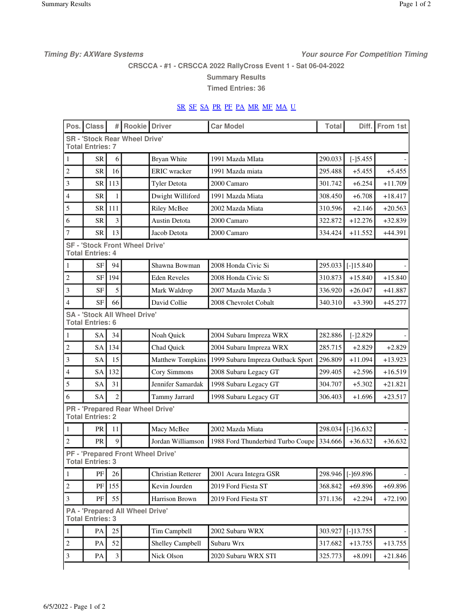**Timing By: AXWare Systems Your source For Competition Timing**

**CRSCCA - #1 - CRSCCA 2022 RallyCross Event 1 - Sat 06-04-2022**

**Summary Results**

**Timed Entries: 36**

## SR SF SA PR PF PA MR MF MA U

| Pos.           | <b>Class</b>            | #              | <b>Rookie</b> Driver                    |                                          | <b>Car Model</b>                  | Total   | Diff.       | From 1st  |
|----------------|-------------------------|----------------|-----------------------------------------|------------------------------------------|-----------------------------------|---------|-------------|-----------|
|                | <b>Total Entries: 7</b> |                | <b>SR - 'Stock Rear Wheel Drive'</b>    |                                          |                                   |         |             |           |
| 1              | <b>SR</b>               | 6              |                                         | Bryan White                              | 1991 Mazda MIata                  | 290.033 | $[-] 5.455$ |           |
| $\mathfrak{2}$ | <b>SR</b>               | 16             |                                         | <b>ERIC</b> wracker                      | 1991 Mazda miata                  | 295.488 | $+5.455$    | $+5.455$  |
| 3              | <b>SR</b>               | 113            |                                         | <b>Tyler Detota</b>                      | 2000 Camaro                       | 301.742 | $+6.254$    | $+11.709$ |
| $\overline{4}$ | <b>SR</b>               | $\mathbf{1}$   |                                         | Dwight Williford                         | 1991 Mazda Miata                  | 308.450 | $+6.708$    | $+18.417$ |
| 5              | <b>SR</b>               | 111            |                                         | <b>Riley McBee</b>                       | 2002 Mazda Miata                  | 310.596 | $+2.146$    | $+20.563$ |
| 6              | <b>SR</b>               | 3              |                                         | Austin Detota                            | 2000 Camaro                       | 322.872 | $+12.276$   | $+32.839$ |
| 7              | <b>SR</b>               | 13             |                                         | Jacob Detota                             | 2000 Camaro                       | 334.424 | $+11.552$   | $+44.391$ |
|                | <b>Total Entries: 4</b> |                | <b>SF - 'Stock Front Wheel Drive'</b>   |                                          |                                   |         |             |           |
| 1              | <b>SF</b>               | 94             |                                         | Shawna Bowman                            | 2008 Honda Civic Si               | 295.033 | $[-]15.840$ |           |
| $\overline{c}$ | <b>SF</b>               | 194            |                                         | <b>Eden Reveles</b>                      | 2008 Honda Civic Si               | 310.873 | $+15.840$   | $+15.840$ |
| 3              | <b>SF</b>               | 5              |                                         | Mark Waldrop                             | 2007 Mazda Mazda 3                | 336.920 | $+26.047$   | $+41.887$ |
| $\overline{4}$ | <b>SF</b>               | 66             |                                         | David Collie                             | 2008 Chevrolet Cobalt             | 340.310 | $+3.390$    | $+45.277$ |
|                | <b>Total Entries: 6</b> |                | <b>SA - 'Stock All Wheel Drive'</b>     |                                          |                                   |         |             |           |
| $\mathbf{1}$   | <b>SA</b>               | 34             |                                         | Noah Quick                               | 2004 Subaru Impreza WRX           | 282.886 | $[-]2.829$  |           |
| $\overline{c}$ | <b>SA</b>               | 134            |                                         | Chad Quick                               | 2004 Subaru Impreza WRX           | 285.715 | $+2.829$    | $+2.829$  |
| 3              | <b>SA</b>               | 15             |                                         | <b>Matthew Tompkins</b>                  | 1999 Subaru Impreza Outback Sport | 296.809 | $+11.094$   | $+13.923$ |
| $\overline{4}$ | <b>SA</b>               | 132            |                                         | Cory Simmons                             | 2008 Subaru Legacy GT             | 299.405 | $+2.596$    | $+16.519$ |
| 5              | SΑ                      | 31             |                                         | Jennifer Samardak                        | 1998 Subaru Legacy GT             | 304.707 | $+5.302$    | $+21.821$ |
| 6              | <b>SA</b>               | $\overline{c}$ |                                         | Tammy Jarrard                            | 1998 Subaru Legacy GT             | 306.403 | $+1.696$    | $+23.517$ |
|                | <b>Total Entries: 2</b> |                | <b>PR</b> - 'Prepared Rear Wheel Drive' |                                          |                                   |         |             |           |
| 1              | PR                      | 11             |                                         | Macy McBee                               | 2002 Mazda Miata                  | 298.034 | $[-]36.632$ |           |
| $\overline{2}$ | PR                      | 9              |                                         | Jordan Williamson                        | 1988 Ford Thunderbird Turbo Coupe | 334.666 | $+36.632$   | $+36.632$ |
|                | <b>Total Entries: 3</b> |                |                                         | <b>PF - 'Prepared Front Wheel Drive'</b> |                                   |         |             |           |
| $\mathbf{1}$   | $\rm PF$                | 26             |                                         | Christian Retterer                       | 2001 Acura Integra GSR            | 298.946 | $[-]69.896$ |           |
| $\sqrt{2}$     | PF                      | 155            |                                         | Kevin Jourden                            | 2019 Ford Fiesta ST               | 368.842 | $+69.896$   | $+69.896$ |
| 3              | PF                      | 55             |                                         | Harrison Brown                           | 2019 Ford Fiesta ST               | 371.136 | $+2.294$    | $+72.190$ |
|                | <b>Total Entries: 3</b> |                | <b>PA - 'Prepared All Wheel Drive'</b>  |                                          |                                   |         |             |           |
| $\mathbf{1}$   | PA                      | 25             |                                         | Tim Campbell                             | 2002 Subaru WRX                   | 303.927 | $[-]13.755$ |           |
| $\overline{2}$ | PA                      | 52             |                                         | Shelley Campbell                         | Subaru Wrx                        | 317.682 | $+13.755$   | $+13.755$ |
| $\mathfrak{Z}$ | PA                      | 3              |                                         | Nick Olson                               | 2020 Subaru WRX STI               | 325.773 | $+8.091$    | $+21.846$ |